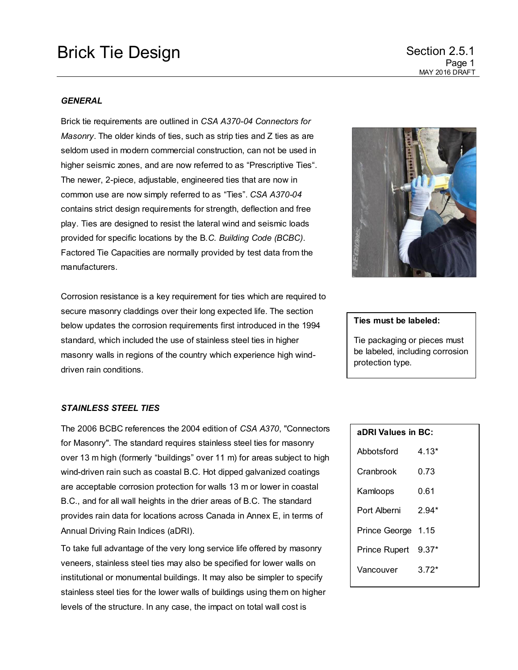#### *GENERAL*

Brick tie requirements are outlined in *CSA A370-04 Connectors for Masonry*. The older kinds of ties, such as strip ties and Z ties as are seldom used in modern commercial construction, can not be used in higher seismic zones, and are now referred to as "Prescriptive Ties". The newer, 2-piece, adjustable, engineered ties that are now in common use are now simply referred to as "Ties". *CSA A370-04* contains strict design requirements for strength, deflection and free play. Ties are designed to resist the lateral wind and seismic loads provided for specific locations by the B*.C. Building Code (BCBC)*. Factored Tie Capacities are normally provided by test data from the manufacturers.

Corrosion resistance is a key requirement for ties which are required to secure masonry claddings over their long expected life. The section below updates the corrosion requirements first introduced in the 1994 standard, which included the use of stainless steel ties in higher masonry walls in regions of the country which experience high winddriven rain conditions.



## **Ties must be labeled:**

Tie packaging or pieces must be labeled, including corrosion protection type.

| aDRI Values in BC:   |         |
|----------------------|---------|
| Abbotsford           | 4.13*   |
| Cranbrook            | 0.73    |
| Kamloops             | 0.61    |
| Port Alberni         | $2.94*$ |
| Prince George 1.15   |         |
| <b>Prince Rupert</b> | $9.37*$ |
| Vancouver            | $372*$  |

Victoria 3.33\*

#### *STAINLESS STEEL TIES*

The 2006 BCBC references the 2004 edition of *CSA A370*, "Connectors for Masonry". The standard requires stainless steel ties for masonry over 13 m high (formerly "buildings" over 11 m) for areas subject to high wind-driven rain such as coastal B.C. Hot dipped galvanized coatings are acceptable corrosion protection for walls 13 m or lower in coastal B.C., and for all wall heights in the drier areas of B.C. The standard provides rain data for locations across Canada in Annex E, in terms of Annual Driving Rain Indices (aDRI).

To take full advantage of the very long service life offered by masonry veneers, stainless steel ties may also be specified for lower walls on institutional or monumental buildings. It may also be simpler to specify stainless steel ties for the lower walls of buildings using them on higher levels of the structure. In any case, the impact on total wall cost is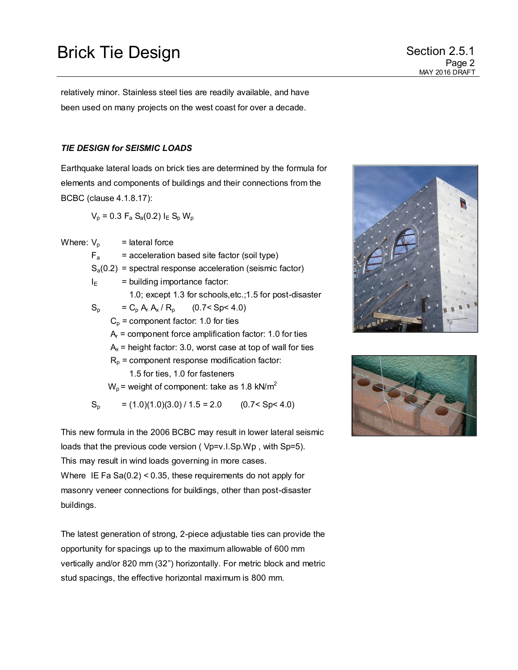# Brick Tie Design Section 2.5.1

relatively minor. Stainless steel ties are readily available, and have been used on many projects on the west coast for over a decade.

## *TIE DESIGN for SEISMIC LOADS*

Earthquake lateral loads on brick ties are determined by the formula for elements and components of buildings and their connections from the BCBC (clause 4.1.8.17):

 $V_p = 0.3 F_a S_a(0.2) I_E S_p W_p$ 

Where:  $V_p$  = lateral force

 $F_a$  = acceleration based site factor (soil type)

 $S_a(0.2)$  = spectral response acceleration (seismic factor)

 $I_F$  = building importance factor: 1.0; except 1.3 for schools,etc.;1.5 for post-disaster  $S_p = C_p A_r A_x / R_p$  $(0.7 < Spc 4.0)$ 

 $C_p$  = component factor: 1.0 for ties

 $A_r$  = component force amplification factor: 1.0 for ties

 $A<sub>x</sub>$  = height factor: 3.0, worst case at top of wall for ties

 $R_p$  = component response modification factor:

1.5 for ties, 1.0 for fasteners

 $W_p$  = weight of component: take as 1.8 kN/m<sup>2</sup>

 $S_p$  = (1.0)(1.0)(3.0) / 1.5 = 2.0 (0.7< Sp< 4.0)

This new formula in the 2006 BCBC may result in lower lateral seismic loads that the previous code version (Vp=v.I.Sp.Wp, with Sp=5). This may result in wind loads governing in more cases. Where IE Fa Sa(0.2) < 0.35, these requirements do not apply for masonry veneer connections for buildings, other than post-disaster buildings.

The latest generation of strong, 2-piece adjustable ties can provide the opportunity for spacings up to the maximum allowable of 600 mm vertically and/or 820 mm (32") horizontally. For metric block and metric stud spacings, the effective horizontal maximum is 800 mm.



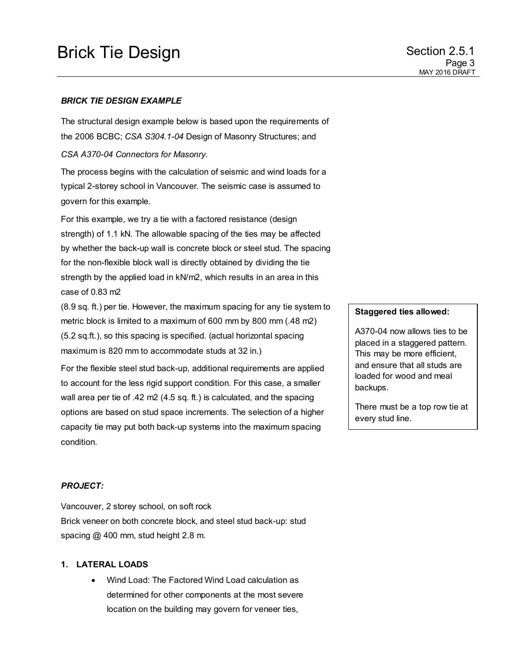# Brick Tie Design Section 2.5.1

## *BRICK TIE DESIGN EXAMPLE*

The structural design example below is based upon the requirements of the 2006 BCBC; *CSA S304.1-04* Design of Masonry Structures; and

*CSA A370-04 Connectors for Masonry*.

The process begins with the calculation of seismic and wind loads for a typical 2-storey school in Vancouver. The seismic case is assumed to govern for this example.

For this example, we try a tie with a factored resistance (design strength) of 1.1 kN. The allowable spacing of the ties may be affected by whether the back-up wall is concrete block or steel stud. The spacing for the non-flexible block wall is directly obtained by dividing the tie strength by the applied load in kN/m2, which results in an area in this case of 0.83 m2

(8.9 sq. ft.) per tie. However, the maximum spacing for any tie system to metric block is limited to a maximum of 600 mm by 800 mm (.48 m2) (5.2 sq.ft.), so this spacing is specified. (actual horizontal spacing maximum is 820 mm to accommodate studs at 32 in.)

For the flexible steel stud back-up, additional requirements are applied to account for the less rigid support condition. For this case, a smaller wall area per tie of .42 m2 (4.5 sq. ft.) is calculated, and the spacing options are based on stud space increments. The selection of a higher capacity tie may put both back-up systems into the maximum spacing condition.

### **Staggered ties allowed:**

A370-04 now allows ties to be placed in a staggered pattern. This may be more efficient, and ensure that all studs are loaded for wood and meal backups.

There must be a top row tie at every stud line.

### *PROJECT:*

Vancouver, 2 storey school, on soft rock Brick veneer on both concrete block, and steel stud back-up: stud spacing @ 400 mm, stud height 2.8 m.

## **1. LATERAL LOADS**

 Wind Load: The Factored Wind Load calculation as determined for other components at the most severe location on the building may govern for veneer ties,